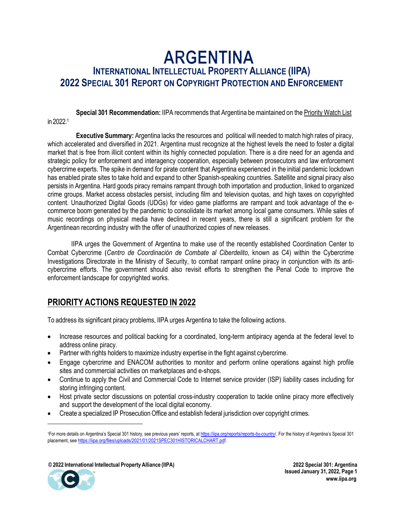# **ARGENTINA INTERNATIONAL INTELLECTUAL PROPERTY ALLIANCE (IIPA) 2022 SPECIAL 301 REPORT ON COPYRIGHT PROTECTION AND ENFORCEMENT**

in 202[2.](#page-0-0) 1 **Special 301 Recommendation: IIPA recommends that Argentina be maintained on the <b>Priority Watch List** 

**Executive Summary:** Argentina lacks the resources and political will needed to match high rates of piracy, which accelerated and diversified in 2021. Argentina must recognize at the highest levels the need to foster a digital market that is free from illicit content within its highly connected population. There is a dire need for an agenda and strategic policy for enforcement and interagency cooperation, especially between prosecutors and law enforcement cybercrime experts. The spike in demand for pirate content that Argentina experienced in the initial pandemic lockdown has enabled pirate sites to take hold and expand to other Spanish-speaking countries. Satellite and signal piracy also persists in Argentina. Hard goods piracy remains rampant through both importation and production, linked to organized crime groups. Market access obstacles persist, including film and television quotas, and high taxes on copyrighted content. Unauthorized Digital Goods (UDGs) for video game platforms are rampant and took advantage of the ecommerce boom generated by the pandemic to consolidate its market among local game consumers. While sales of music recordings on physical media have declined in recent years, there is still a significant problem for the Argentinean recording industry with the offer of unauthorized copies of new releases.

IIPA urges the Government of Argentina to make use of the recently established Coordination Center to Combat Cybercrime (*Centro de Coordinación de Combate al Ciberdelito*, known as C4) within the Cybercrime Investigations Directorate in the Ministry of Security, to combat rampant online piracy in conjunction with its anticybercrime efforts. The government should also revisit efforts to strengthen the Penal Code to improve the enforcement landscape for copyrighted works.

# **PRIORITY ACTIONS REQUESTED IN 2022**

To address its significant piracy problems, IIPA urges Argentina to take the following actions.

- Increase resources and political backing for a coordinated, long-term antipiracy agenda at the federal level to address online piracy.
- Partner with rights holders to maximize industry expertise in the fight against cybercrime.
- Engage cybercrime and ENACOM authorities to monitor and perform online operations against high profile sites and commercial activities on marketplaces and e-shops.
- Continue to apply the Civil and Commercial Code to Internet service provider (ISP) liability cases including for storing infringing content.
- Host private sector discussions on potential cross-industry cooperation to tackle online piracy more effectively and support the development of the local digital economy.
- Create a specialized IP ProsecutionOffice and establish federal jurisdiction over copyright crimes.

**© 2022 International Intellectual Property Alliance (IIPA) 2022 Special 301: Argentina**



<span id="page-0-0"></span><sup>&</sup>lt;sup>1</sup>For more details on Argentina's Special 301 history, see previous years' reports, at [https://iipa.org/reports/reports-by-country/.](https://iipa.org/reports/reports-by-country/) For the history of Argentina's Special 301 placement, see https://iipa.org/files/uploads/2021/01/2021SPEC301HISTORICALCHART.pdf.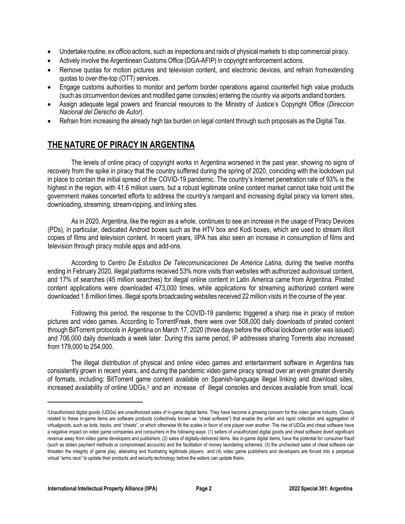- Undertake routine, *ex officio* actions, such as inspections and raids of physicalmarkets to stop commercial piracy.
- Actively involve the Argentinean Customs Office (DGA-AFIP) in copyright enforcement actions.
- Remove quotas for motion pictures and television content, and electronic devices, and refrain fromextending quotas to over-the-top (OTT) services.
- Engage customs authorities to monitor and perform border operations against counterfeit high value products (such as circumvention devices and modified game consoles) entering the country via airports andland borders.
- Assign adequate legal powers and financial resources to the Ministry of Justice's Copyright Office (*Direccion Nacional del Derecho de Autor*).
- Refrain from increasing the already high tax burden on legal content through such proposals as the Digital Tax.

# **THE NATURE OF PIRACY IN ARGENTINA**

The levels of online piracy of copyright works in Argentina worsened in the past year, showing no signs of recovery from the spike in piracy that the country suffered during the spring of 2020, coinciding with the lockdown put in place to contain the initial spread of the COVID-19 pandemic. The country's Internet penetration rate of 93% is the highest in the region, with 41.6 million users, but a robust legitimate online content market cannot take hold until the government makes concerted efforts to address the country's rampant and increasing digital piracy via torrent sites, downloading, streaming, stream-ripping, and linking sites.

As in 2020, Argentina, like the region as a whole, continues to see an increase in the usage of Piracy Devices (PDs), in particular, dedicated Android boxes such as the HTV box and Kodi boxes, which are used to stream illicit copies of films and television content. In recent years, IIPA has also seen an increase in consumption of films and television through piracy mobile apps and add-ons.

According to *Centro De Estudios De Telecomunicaciones De América Latina*, during the twelve months ending in February 2020, illegal platforms received 53% more visits than websites with authorized audiovisual content, and 17% of searches (45 million searches) for illegal online content in Latin America came from Argentina. Pirated content applications were downloaded 473,000 times, while applications for streaming authorized content were downloaded 1.8million times. Illegal sports broadcasting websites received 22 million visits in the course of the year.

Following this period, the response to the COVID-19 pandemic triggered a sharp rise in piracy of motion pictures and video games. According to TorrentFreak, there were over 508,000 daily downloads of pirated content through BitTorrent protocols in Argentina on March 17, 2020 (three days before the official lockdown order was issued) and 706,000 daily downloads a week later. During this same period, IP addresses sharing Torrents also increased from 179,000 to 254,000.

The illegal distribution of physical and online video games and entertainment software in Argentina has consistently grown in recent years, and during the pandemic video game piracy spread over an even greater diversity of formats, including: BitTorrent game content available on Spanish-language illegal linking and download sites, increased availability of online UDG[s,](#page-1-0)<sup>2</sup> and an increase of illegal consoles and devices available from small, local

<span id="page-1-0"></span><sup>2</sup>Unauthorized digital goods (UDGs) are unauthorized sales of in-game digital items. They have become a growing concern for the video game industry. Closely related to these in-game items are software products (collectively known as "cheat software") that enable the unfair and rapid collection and aggregation of virtualgoods, such as bots, hacks, and "cheats", or which otherwise tilt the scales in favor of one player over another. The rise of UDGs and cheat software have a negative impact on video game companies and consumers in the following ways: (1) sellers of unauthorized digital goods and cheat software divert significant revenue away from video game developers and publishers; (2) sales of digitally-delivered items, like in-game digital items, have the potential for consumer fraud (such as stolen payment methods or compromised accounts) and the facilitation of money laundering schemes; (3) the unchecked sales of cheat software can threaten the integrity of game play, alienating and frustrating legitimate players; and (4) video game publishers and developers are forced into a perpetual virtual "arms race" to update their products and security technology before the sellers can update theirs.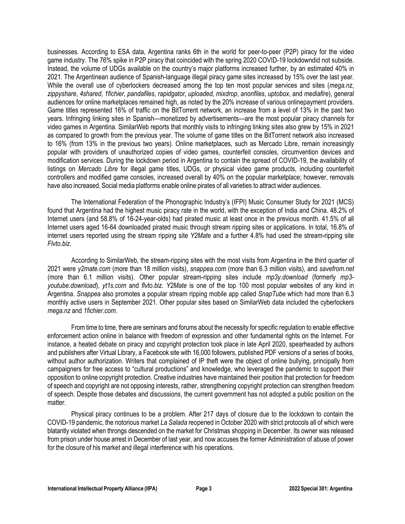businesses. According to ESA data, Argentina ranks 6th in the world for peer-to-peer (P2P) piracy for the video game industry. The 76% spike in P2P piracy that coincided with the spring 2020 COVID-19 lockdowndid not subside. Instead, the volume of UDGs available on the country's major platforms increased further, by an estimated 40% in 2021. The Argentinean audience of Spanish-language illegal piracy game sites increased by 15% over the last year. While the overall use of cyberlockers decreased among the top ten most popular services and sites (*mega.nz*, *zippyshare*, *4shared*, *1fichier*, *pandafiles*, *rapidgator*, *uploaded*, *mixdrop*, *anonfiles*, *uptobox*, and *mediafire*), general audiences for online marketplaces remained high, as noted by the 20% increase of various onlinepayment providers. Game titles represented 16% of traffic on the BitTorrent network, an increase from a level of 13% in the past two years. Infringing linking sites in Spanish—monetized by advertisements—are the most popular piracy channels for video games in Argentina. SimilarWeb reports that monthly visits to infringing linking sites also grew by 15% in 2021 as compared to growth from the previous year. The volume of game titles on the BitTorrent network also increased to 16% (from 13% in the previous two years). Online marketplaces, such as Mercado Libre, remain increasingly popular with providers of unauthorized copies of video games, counterfeit consoles, circumvention devices and modification services. During the lockdown period in Argentina to contain the spread of COVID-19, the availability of listings on *Mercado Libre* for illegal game titles, UDGs, or physical video game products, including counterfeit controllers and modified game consoles, increased overall by 40% on the popular marketplace; however, removals have also increased. Social media platforms enable online pirates of all varieties to attract wider audiences.

The International Federation of the Phonographic Industry's (IFPI) Music Consumer Study for 2021 (MCS) found that Argentina had the highest music piracy rate in the world, with the exception of India and China. 48.2% of Internet users (and 58.8% of 16-24-year-olds) had pirated music at least once in the previous month. 41.5% of all Internet users aged 16-64 downloaded pirated music through stream ripping sites or applications. In total, 16.8% of internet users reported using the stream ripping site *Y2Mate* and a further 4.8% had used the stream-ripping site *Flvto.biz*.

According to SimilarWeb, the stream-ripping sites with the most visits from Argentina in the third quarter of 2021 were *y2mate.com* (more than 18 million visits), *snappea.com* (more than 6.3 million visits), and *savefrom.net* (more than 6.1 million visits). Other popular stream-ripping sites include *mp3y.download* (formerly *mp3 youtube.download*), *yt1s.com* and *flvto.biz*. *Y2Mate* is one of the top 100 most popular websites of any kind in Argentina. *Snappea* also promotes a popular stream ripping mobile app called *SnapTube* which had more than 6.3 monthly active users in September 2021. Other popular sites based on SimilarWeb data included the cyberlockers *mega.nz* and *1fichier.com*.

From time to time, there are seminars and forums about the necessity for specific regulation to enable effective enforcement action online in balance with freedom of expression and other fundamental rights on the Internet. For instance, a heated debate on piracy and copyright protection took place in late April 2020, spearheaded by authors and publishers after Virtual Library, a Facebook site with 16,000 followers, published PDF versions of a series of books, without author authorization. Writers that complained of IP theft were the object of online bullying, principally from campaigners for free access to "cultural productions" and knowledge, who leveraged the pandemic to support their opposition to online copyright protection. Creative industries have maintained their position that protection for freedom of speech and copyright are not opposing interests, rather, strengthening copyright protection can strengthen freedom of speech. Despite those debates and discussions, the current government has not adopted a public position on the matter.

Physical piracy continues to be a problem. After 217 days of closure due to the lockdown to contain the COVID-19 pandemic, the notorious market *La Salada* reopened in October 2020 with strict protocols all of which were blatantly violated when throngs descended on the market for Christmas shopping in December. Its owner was released from prison under house arrest in December of last year, and now accuses the former Administration of abuse of power for the closure of his market and illegal interference with his operations.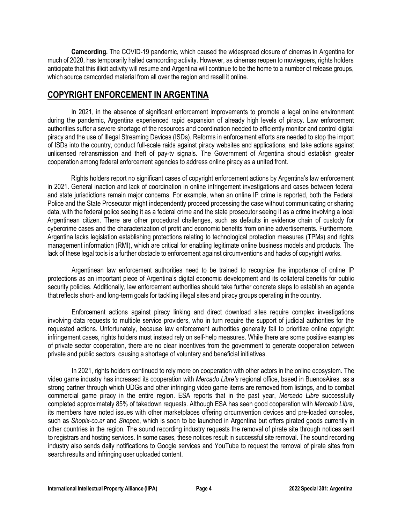**Camcording.** The COVID-19 pandemic, which caused the widespread closure of cinemas in Argentina for much of 2020, has temporarily halted camcording activity. However, as cinemas reopen to moviegoers, rights holders anticipate that this illicit activity will resume and Argentina will continue to be the home to a number of release groups, which source camcorded material from all over the region and resell it online.

## **COPYRIGHT ENFORCEMENT IN ARGENTINA**

In 2021, in the absence of significant enforcement improvements to promote a legal online environment during the pandemic, Argentina experienced rapid expansion of already high levels of piracy. Law enforcement authorities suffer a severe shortage of the resources and coordination needed to efficiently monitor and control digital piracy and the use of Illegal Streaming Devices (ISDs). Reforms in enforcement efforts are needed to stop the import of ISDs into the country, conduct full-scale raids against piracy websites and applications, and take actions against unlicensed retransmission and theft of pay-tv signals. The Government of Argentina should establish greater cooperation among federal enforcement agencies to address online piracy as a united front.

Rights holders report no significant cases of copyright enforcement actions by Argentina's law enforcement in 2021. General inaction and lack of coordination in online infringement investigations and cases between federal and state jurisdictions remain major concerns. For example, when an online IP crime is reported, both the Federal Police and the State Prosecutor might independently proceed processing the case without communicating or sharing data, with the federal police seeing it as a federal crime and the state prosecutor seeing it as a crime involving a local Argentinean citizen. There are other procedural challenges, such as defaults in evidence chain of custody for cybercrime cases and the characterization of profit and economic benefits from online advertisements. Furthermore, Argentina lacks legislation establishing protections relating to technological protection measures (TPMs) and rights management information (RMI), which are critical for enabling legitimate online business models and products. The lack of these legal tools is a further obstacle to enforcement against circumventions and hacks of copyright works.

Argentinean law enforcement authorities need to be trained to recognize the importance of online IP protections as an important piece of Argentina's digital economic development and its collateral benefits for public security policies. Additionally, law enforcement authorities should take further concrete steps to establish an agenda that reflects short- and long-term goals for tackling illegal sites and piracy groups operating in the country.

Enforcement actions against piracy linking and direct download sites require complex investigations involving data requests to multiple service providers, who in turn require the support of judicial authorities for the requested actions. Unfortunately, because law enforcement authorities generally fail to prioritize online copyright infringement cases, rights holders must instead rely on self-help measures. While there are some positive examples of private sector cooperation, there are no clear incentives from the government to generate cooperation between private and public sectors, causing a shortage of voluntary and beneficial initiatives.

In 2021, rights holders continued to rely more on cooperation with other actors in the online ecosystem. The video game industry has increased its cooperation with *Mercado Libre's* regional office, based in BuenosAires, as a strong partner through which UDGs and other infringing video game items are removed from listings, and to combat commercial game piracy in the entire region. ESA reports that in the past year, *Mercado Libre* successfully completed approximately 85% of takedown requests. Although ESA has seen good cooperation with *Mercado Libre*, its members have noted issues with other marketplaces offering circumvention devices and pre-loaded consoles, such as *Shopix-co.ar* and *Shopee*, which is soon to be launched in Argentina but offers pirated goods currently in other countries in the region. The sound recording industry requests the removal of pirate site through notices sent to registrars and hosting services. In some cases, these notices result in successful site removal. The sound recording industry also sends daily notifications to Google services and YouTube to request the removal of pirate sites from search results and infringing user uploaded content.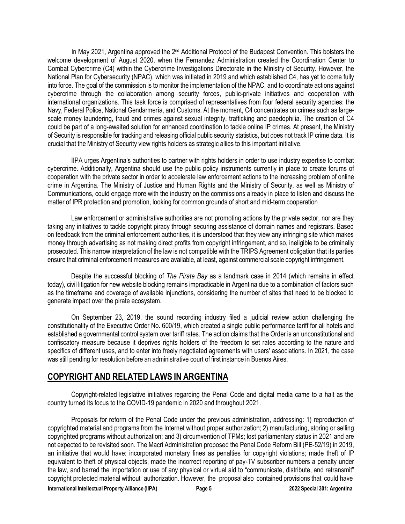In May 2021, Argentina approved the 2<sup>nd</sup> Additional Protocol of the Budapest Convention. This bolsters the welcome development of August 2020, when the Fernandez Administration created the Coordination Center to Combat Cybercrime (C4) within the Cybercrime Investigations Directorate in the Ministry of Security. However, the National Plan for Cybersecurity (NPAC), which was initiated in 2019 and which established C4, has yet to come fully into force. The goal of the commission is to monitor the implementation of the NPAC, and to coordinate actions against cybercrime through the collaboration among security forces, public-private initiatives and cooperation with international organizations. This task force is comprised of representatives from four federal security agencies: the Navy, Federal Police, National Gendarmería, and Customs. At the moment, C4 concentrates on crimes such as largescale money laundering, fraud and crimes against sexual integrity, trafficking and paedophilia. The creation of C4 could be part of a long-awaited solution for enhanced coordination to tackle online IP crimes. At present, the Ministry of Security is responsible for tracking and releasing official public security statistics, but does not track IP crime data. It is crucial that the Ministry of Security view rights holders as strategic allies to this important initiative.

IIPA urges Argentina's authorities to partner with rights holders in order to use industry expertise to combat cybercrime. Additionally, Argentina should use the public policy instruments currently in place to create forums of cooperation with the private sector in order to accelerate law enforcement actions to the increasing problem of online crime in Argentina. The Ministry of Justice and Human Rights and the Ministry of Security, as well as Ministry of Communications, could engage more with the industry on the commissions already in place to listen and discuss the matter of IPR protection and promotion, looking for common grounds of short and mid-term cooperation

Law enforcement or administrative authorities are not promoting actions by the private sector, nor are they taking any initiatives to tackle copyright piracy through securing assistance of domain names and registrars. Based on feedback from the criminal enforcement authorities, it is understood that they view any infringing site which makes money through advertising as not making direct profits from copyright infringement, and so, ineligible to be criminally prosecuted. This narrow interpretation of the law is not compatible with the TRIPS Agreement obligation that its parties ensure that criminal enforcement measures are available, at least, against commercial scale copyright infringement.

Despite the successful blocking of *The Pirate Bay* as a landmark case in 2014 (which remains in effect today), civil litigation for new website blocking remains impracticable in Argentina due to a combination of factors such as the timeframe and coverage of available injunctions, considering the number of sites that need to be blocked to generate impact over the pirate ecosystem.

On September 23, 2019, the sound recording industry filed a judicial review action challenging the constitutionality of the Executive Order No. 600/19, which created a single public performance tariff for all hotels and established a governmental control system over tariff rates. The action claims that the Order is an unconstitutional and confiscatory measure because it deprives rights holders of the freedom to set rates according to the nature and specifics of different uses, and to enter into freely negotiated agreements with users' associations. In 2021, the case was still pending for resolution before an administrative court of first instance in Buenos Aires.

## **COPYRIGHT AND RELATED LAWS IN ARGENTINA**

Copyright-related legislative initiatives regarding the Penal Code and digital media came to a halt as the country turned its focus to the COVID-19 pandemic in 2020 and throughout 2021.

Proposals for reform of the Penal Code under the previous administration, addressing: 1) reproduction of copyrighted material and programs from the Internet without proper authorization; 2) manufacturing, storing or selling copyrighted programs without authorization; and 3) circumvention of TPMs; lost parliamentary status in 2021 and are not expected to be revisited soon. The Macri Administration proposed the Penal Code Reform Bill (PE-52/19) in 2019, an initiative that would have: incorporated monetary fines as penalties for copyright violations; made theft of IP equivalent to theft of physical objects, made the incorrect reporting of pay-TV subscriber numbers a penalty under the law, and barred the importation or use of any physical or virtual aid to "communicate, distribute, and retransmit" copyright protected material without authorization. However, the proposal also contained provisions that could have

**International Intellectual Property Alliance (IIPA) Page 5 2022 Special 301: Argentina**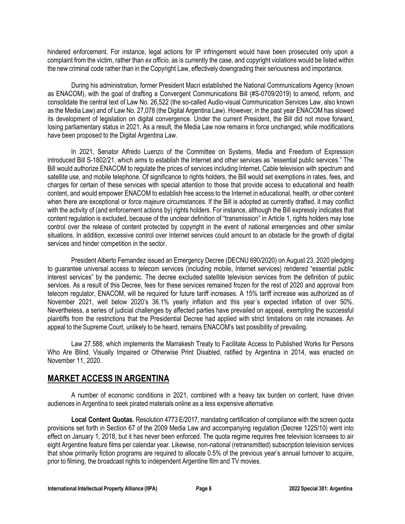hindered enforcement. For instance, legal actions for IP infringement would have been prosecuted only upon a complaint from the victim, rather than *ex officio*, as is currently the case, and copyright violations would be listed within the new criminal code rather than in the Copyright Law, effectively downgrading their seriousness and importance.

During his administration, former President Macri established the National Communications Agency (known as ENACOM), with the goal of drafting a Convergent Communications Bill (#S-0709/2019) to amend, reform, and consolidate the central text of Law No. 26,522 (the so-called Audio-visual Communication Services Law, also known as the Media Law) and of Law No. 27,078 (the Digital Argentina Law). However, in the past year ENACOM has slowed its development of legislation on digital convergence. Under the current President, the Bill did not move forward, losing parliamentary status in 2021. As a result, the Media Law now remains in force unchanged, while modifications have been proposed to the Digital Argentina Law.

In 2021, Senator Alfredo Luenzo of the Committee on Systems, Media and Freedom of Expression introduced Bill S-1802/21, which aims to establish the Internet and other services as "essential public services." The Bill would authorize ENACOM to regulate the prices of services including Internet, Cable television with spectrum and satellite use, and mobile telephone. Of significance to rights holders, the Bill would set exemptions in rates, fees, and charges for certain of these services with special attention to those that provide access to educational and health content, and would empower ENACOM to establish free access to the Internet in educational, health, or other content when there are exceptional or *force majeure* circumstances. If the Bill is adopted as currently drafted, it may conflict with the activity of (and enforcement actions by) rights holders. For instance, although the Bill expressly indicates that content regulation is excluded, because of the unclear definition of "transmission" in Article 1, rights holders may lose control over the release of content protected by copyright in the event of national emergencies and other similar situations. In addition, excessive control over Internet services could amount to an obstacle for the growth of digital services and hinder competition in the sector.

President Alberto Fernandez issued an Emergency Decree (DECNU 690/2020) on August 23, 2020 pledging to guarantee universal access to telecom services (including mobile, Internet services) rendered "essential public interest services" by the pandemic. The decree excluded satellite television services from the definition of public services. As a result of this Decree, fees for these services remained frozen for the rest of 2020 and approval from telecom regulator, ENACOM, will be required for future tariff increases. A 15% tariff increase was authorized as of November 2021, well below 2020's 36.1% yearly inflation and this year´s expected inflation of over 50%. Nevertheless, a series of judicial challenges by affected parties have prevailed on appeal, exempting the successful plaintiffs from the restrictions that the Presidential Decree had applied with strict limitations on rate increases. An appeal to the Supreme Court, unlikely to be heard, remains ENACOM's last possibility of prevailing.

Law 27.588, which implements the Marrakesh Treaty to Facilitate Access to Published Works for Persons Who Are Blind, Visually Impaired or Otherwise Print Disabled, ratified by Argentina in 2014, was enacted on November 11, 2020.

## **MARKET ACCESS IN ARGENTINA**

A number of economic conditions in 2021, combined with a heavy tax burden on content, have driven audiences in Argentina to seek pirated materials online as a less expensive alternative.

**Local Content Quotas.** Resolution 4773 E/2017, mandating certification of compliance with the screen quota provisions set forth in Section 67 of the 2009 Media Law and accompanying regulation (Decree 1225/10) went into effect on January 1, 2018, but it has never been enforced. The quota regime requires free television licensees to air eight Argentine feature films per calendar year. Likewise, non-national (retransmitted) subscription television services that show primarily fiction programs are required to allocate 0.5% of the previous year's annual turnover to acquire, prior to filming, the broadcast rights to independent Argentine film and TV movies.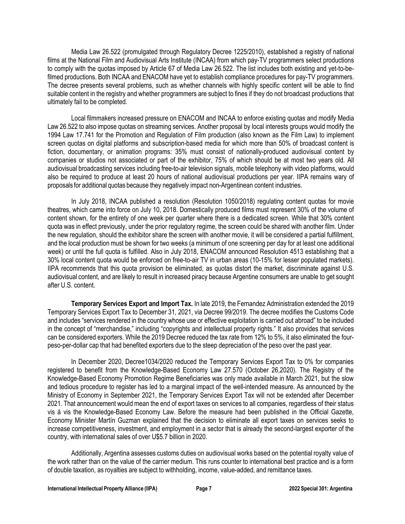Media Law 26.522 (promulgated through Regulatory Decree 1225/2010), established a registry of national films at the National Film and Audiovisual Arts Institute (INCAA) from which pay-TV programmers select productions to comply with the quotas imposed by Article 67 of Media Law 26.522. The list includes both existing and yet-to-befilmed productions. Both INCAA and ENACOM have yet to establish compliance procedures for pay-TV programmers. The decree presents several problems, such as whether channels with highly specific content will be able to find suitable content in the registry and whether programmers are subject to fines if they do not broadcast productions that ultimately fail to be completed.

Local filmmakers increased pressure on ENACOM and INCAA to enforce existing quotas and modify Media Law 26.522 to also impose quotas on streaming services. Another proposal by local interests groups would modify the 1994 Law 17.741 for the Promotion and Regulation of Film production (also known as the Film Law) to implement screen quotas on digital platforms and subscription-based media for which more than 50% of broadcast content is fiction, documentary, or animation programs: 35% must consist of nationally-produced audiovisual content by companies or studios not associated or part of the exhibitor, 75% of which should be at most two years old. All audiovisual broadcasting services including free-to-air television signals, mobile telephony with video platforms, would also be required to produce at least 20 hours of national audiovisual productions per year. IIPA remains wary of proposals for additional quotas because they negatively impact non-Argentinean content industries.

In July 2018, INCAA published a resolution (Resolution 1050/2018) regulating content quotas for movie theatres, which came into force on July 10, 2018. Domestically produced films must represent 30% of the volume of content shown, for the entirety of one week per quarter where there is a dedicated screen. While that 30% content quota was in effect previously, under the prior regulatory regime, the screen could be shared with another film. Under the new regulation, should the exhibitor share the screen with another movie, it will be considered a partial fulfillment, and the local production must be shown for two weeks (a minimum of one screening per day for at least one additional week) or until the full quota is fulfilled. Also in July 2018, ENACOM announced Resolution 4513 establishing that a 30% local content quota would be enforced on free-to-air TV in urban areas (10-15% for lesser populated markets). IIPA recommends that this quota provision be eliminated, as quotas distort the market, discriminate against U.S. audiovisual content, and are likely to result in increased piracy because Argentine consumers are unable to get sought after U.S. content.

**Temporary Services Export and Import Tax.** In late 2019, the Fernandez Administration extended the 2019 Temporary Services Export Tax to December 31, 2021, via Decree 99/2019. The decree modifies the Customs Code and includes "services rendered in the country whose use or effective exploitation is carried out abroad" to be included in the concept of "merchandise," including "copyrights and intellectual property rights." It also provides that services can be considered exporters. While the 2019 Decree reduced the tax rate from 12% to 5%, it also eliminated the fourpeso-per-dollar cap that had benefited exporters due to the steep depreciation of the peso over the past year.

In December 2020, Decree1034/2020 reduced the Temporary Services Export Tax to 0% for companies registered to benefit from the Knowledge-Based Economy Law 27.570 (October 26,2020). The Registry of the Knowledge-Based Economy Promotion Regime Beneficiaries was only made available in March 2021, but the slow and tedious procedure to register has led to a marginal impact of the well-intended measure. As announced by the Ministry of Economy in September 2021, the Temporary Services Export Tax will not be extended after December 2021. That announcement would mean the end of export taxes on services to all companies, regardless of their status vis á vis the Knowledge-Based Economy Law. Before the measure had been published in the Official Gazette, Economy Minister Martín Guzman explained that the decision to eliminate all export taxes on services seeks to increase competitiveness, investment, and employment in a sector that is already the second-largest exporter of the country, with international sales of over U\$5.7 billion in 2020.

Additionally, Argentina assesses customs duties on audiovisual works based on the potential royalty value of the work rather than on the value of the carrier medium. This runs counter to international best practice and is a form of double taxation, as royalties are subject to withholding, income, value-added, and remittance taxes.